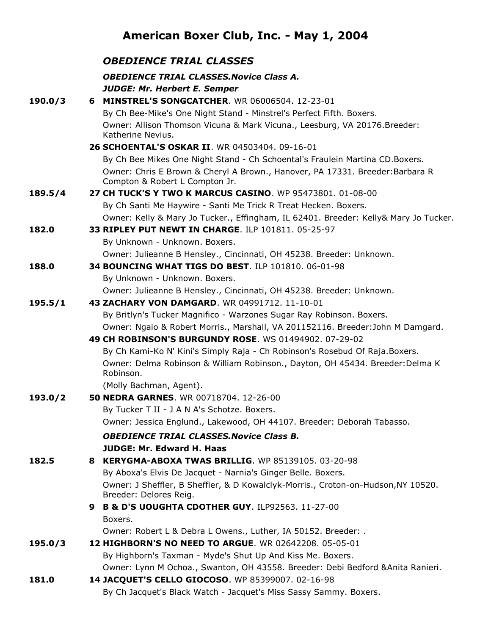# **American Boxer Club, Inc. - May 1, 2004**

|         | <b>OBEDIENCE TRIAL CLASSES</b>                                                                                  |
|---------|-----------------------------------------------------------------------------------------------------------------|
|         | <b>OBEDIENCE TRIAL CLASSES. Novice Class A.</b>                                                                 |
|         | <b>JUDGE: Mr. Herbert E. Semper</b>                                                                             |
| 190.0/3 | 6 MINSTREL'S SONGCATCHER. WR 06006504. 12-23-01                                                                 |
|         | By Ch Bee-Mike's One Night Stand - Minstrel's Perfect Fifth. Boxers.                                            |
|         | Owner: Allison Thomson Vicuna & Mark Vicuna., Leesburg, VA 20176.Breeder:<br>Katherine Nevius.                  |
|         | 26 SCHOENTAL'S OSKAR II. WR 04503404. 09-16-01                                                                  |
|         | By Ch Bee Mikes One Night Stand - Ch Schoental's Fraulein Martina CD.Boxers.                                    |
|         | Owner: Chris E Brown & Cheryl A Brown., Hanover, PA 17331. Breeder: Barbara R<br>Compton & Robert L Compton Jr. |
| 189.5/4 | 27 CH TUCK'S Y TWO K MARCUS CASINO. WP 95473801, 01-08-00                                                       |
|         | By Ch Santi Me Haywire - Santi Me Trick R Treat Hecken. Boxers.                                                 |
|         | Owner: Kelly & Mary Jo Tucker., Effingham, IL 62401. Breeder: Kelly& Mary Jo Tucker.                            |
| 182.0   | 33 RIPLEY PUT NEWT IN CHARGE. ILP 101811. 05-25-97                                                              |
|         | By Unknown - Unknown. Boxers.                                                                                   |
|         | Owner: Julieanne B Hensley., Cincinnati, OH 45238. Breeder: Unknown.                                            |
| 188.0   | 34 BOUNCING WHAT TIGS DO BEST. ILP 101810. 06-01-98                                                             |
|         | By Unknown - Unknown. Boxers.                                                                                   |
|         | Owner: Julieanne B Hensley., Cincinnati, OH 45238. Breeder: Unknown.                                            |
| 195.5/1 | 43 ZACHARY VON DAMGARD, WR 04991712, 11-10-01                                                                   |
|         | By Britlyn's Tucker Magnifico - Warzones Sugar Ray Robinson. Boxers.                                            |
|         | Owner: Ngaio & Robert Morris., Marshall, VA 201152116. Breeder: John M Damgard.                                 |
|         | 49 CH ROBINSON'S BURGUNDY ROSE. WS 01494902. 07-29-02                                                           |
|         | By Ch Kami-Ko N' Kini's Simply Raja - Ch Robinson's Rosebud Of Raja. Boxers.                                    |
|         | Owner: Delma Robinson & William Robinson., Dayton, OH 45434. Breeder: Delma K<br>Robinson.                      |
|         | (Molly Bachman, Agent).                                                                                         |
| 193.0/2 | <b>50 NEDRA GARNES. WR 00718704. 12-26-00</b>                                                                   |
|         | By Tucker T II - J A N A's Schotze. Boxers.                                                                     |
|         | Owner: Jessica Englund., Lakewood, OH 44107. Breeder: Deborah Tabasso.                                          |
|         | <b>OBEDIENCE TRIAL CLASSES. Novice Class B.</b>                                                                 |
|         | <b>JUDGE: Mr. Edward H. Haas</b>                                                                                |
| 182.5   | <b>8 KERYGMA-ABOXA TWAS BRILLIG.</b> WP 85139105, 03-20-98                                                      |
|         | By Aboxa's Elvis De Jacquet - Narnia's Ginger Belle. Boxers.                                                    |
|         | Owner: J Sheffler, B Sheffler, & D Kowalclyk-Morris., Croton-on-Hudson, NY 10520.<br>Breeder: Delores Reig.     |
|         | B & D'S UOUGHTA CDOTHER GUY. ILP92563. 11-27-00<br>9.                                                           |
|         | Boxers.                                                                                                         |
|         | Owner: Robert L & Debra L Owens., Luther, IA 50152. Breeder: .                                                  |
| 195.0/3 | 12 HIGHBORN'S NO NEED TO ARGUE. WR 02642208, 05-05-01                                                           |
|         | By Highborn's Taxman - Myde's Shut Up And Kiss Me. Boxers.                                                      |
|         | Owner: Lynn M Ochoa., Swanton, OH 43558. Breeder: Debi Bedford & Anita Ranieri.                                 |
| 181.0   | 14 JACQUET'S CELLO GIOCOSO. WP 85399007. 02-16-98                                                               |
|         | By Ch Jacquet's Black Watch - Jacquet's Miss Sassy Sammy. Boxers.                                               |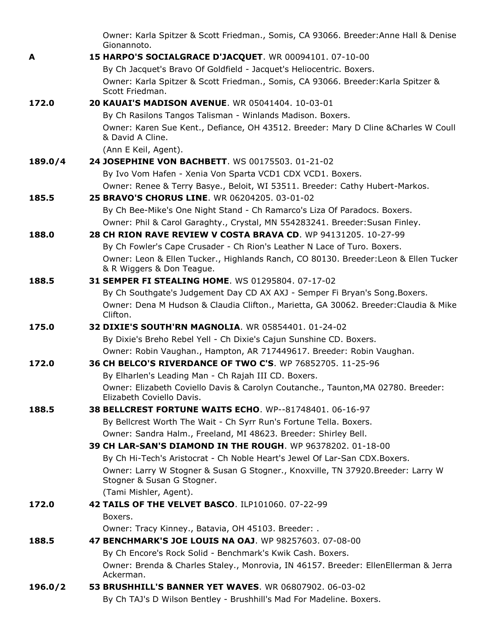|         | Owner: Karla Spitzer & Scott Friedman., Somis, CA 93066. Breeder: Anne Hall & Denise<br>Gionannoto.               |
|---------|-------------------------------------------------------------------------------------------------------------------|
| A       | 15 HARPO'S SOCIALGRACE D'JACQUET. WR 00094101. 07-10-00                                                           |
|         | By Ch Jacquet's Bravo Of Goldfield - Jacquet's Heliocentric. Boxers.                                              |
|         | Owner: Karla Spitzer & Scott Friedman., Somis, CA 93066. Breeder: Karla Spitzer &                                 |
|         | Scott Friedman.                                                                                                   |
| 172.0   | <b>20 KAUAI'S MADISON AVENUE. WR 05041404. 10-03-01</b>                                                           |
|         | By Ch Rasilons Tangos Talisman - Winlands Madison. Boxers.                                                        |
|         | Owner: Karen Sue Kent., Defiance, OH 43512. Breeder: Mary D Cline & Charles W Coull<br>& David A Cline.           |
|         | (Ann E Keil, Agent).                                                                                              |
| 189.0/4 | 24 JOSEPHINE VON BACHBETT. WS 00175503. 01-21-02                                                                  |
|         | By Ivo Vom Hafen - Xenia Von Sparta VCD1 CDX VCD1. Boxers.                                                        |
|         | Owner: Renee & Terry Basye., Beloit, WI 53511. Breeder: Cathy Hubert-Markos.                                      |
| 185.5   | 25 BRAVO'S CHORUS LINE. WR 06204205, 03-01-02                                                                     |
|         | By Ch Bee-Mike's One Night Stand - Ch Ramarco's Liza Of Paradocs. Boxers.                                         |
|         | Owner: Phil & Carol Garaghty., Crystal, MN 554283241. Breeder: Susan Finley.                                      |
| 188.0   | 28 CH RION RAVE REVIEW V COSTA BRAVA CD. WP 94131205. 10-27-99                                                    |
|         | By Ch Fowler's Cape Crusader - Ch Rion's Leather N Lace of Turo. Boxers.                                          |
|         | Owner: Leon & Ellen Tucker., Highlands Ranch, CO 80130. Breeder: Leon & Ellen Tucker<br>& R Wiggers & Don Teague. |
| 188.5   | 31 SEMPER FI STEALING HOME. WS 01295804. 07-17-02                                                                 |
|         | By Ch Southgate's Judgement Day CD AX AXJ - Semper Fi Bryan's Song. Boxers.                                       |
|         | Owner: Dena M Hudson & Claudia Clifton., Marietta, GA 30062. Breeder: Claudia & Mike<br>Clifton.                  |
| 175.0   | <b>32 DIXIE'S SOUTH'RN MAGNOLIA.</b> WR 05854401, 01-24-02                                                        |
|         | By Dixie's Breho Rebel Yell - Ch Dixie's Cajun Sunshine CD. Boxers.                                               |
|         | Owner: Robin Vaughan., Hampton, AR 717449617. Breeder: Robin Vaughan.                                             |
| 172.0   | 36 CH BELCO'S RIVERDANCE OF TWO C'S. WP 76852705, 11-25-96                                                        |
|         | By Elharlen's Leading Man - Ch Rajah III CD. Boxers.                                                              |
|         | Owner: Elizabeth Coviello Davis & Carolyn Coutanche., Taunton, MA 02780. Breeder:<br>Elizabeth Coviello Davis.    |
| 188.5   | <b>38 BELLCREST FORTUNE WAITS ECHO.</b> WP--81748401, 06-16-97                                                    |
|         | By Bellcrest Worth The Wait - Ch Syrr Run's Fortune Tella. Boxers.                                                |
|         | Owner: Sandra Halm., Freeland, MI 48623. Breeder: Shirley Bell.                                                   |
|         | 39 CH LAR-SAN'S DIAMOND IN THE ROUGH. WP 96378202. 01-18-00                                                       |
|         | By Ch Hi-Tech's Aristocrat - Ch Noble Heart's Jewel Of Lar-San CDX.Boxers.                                        |
|         | Owner: Larry W Stogner & Susan G Stogner., Knoxville, TN 37920.Breeder: Larry W<br>Stogner & Susan G Stogner.     |
|         | (Tami Mishler, Agent).                                                                                            |
| 172.0   | 42 TAILS OF THE VELVET BASCO. ILP101060. 07-22-99                                                                 |
|         | Boxers.                                                                                                           |
|         | Owner: Tracy Kinney., Batavia, OH 45103. Breeder: .                                                               |
| 188.5   | 47 BENCHMARK'S JOE LOUIS NA OAJ. WP 98257603. 07-08-00                                                            |
|         | By Ch Encore's Rock Solid - Benchmark's Kwik Cash. Boxers.                                                        |
|         | Owner: Brenda & Charles Staley., Monrovia, IN 46157. Breeder: EllenEllerman & Jerra                               |
|         | Ackerman.                                                                                                         |
| 196.0/2 | <b>53 BRUSHHILL'S BANNER YET WAVES. WR 06807902. 06-03-02</b>                                                     |
|         | By Ch TAJ's D Wilson Bentley - Brushhill's Mad For Madeline. Boxers.                                              |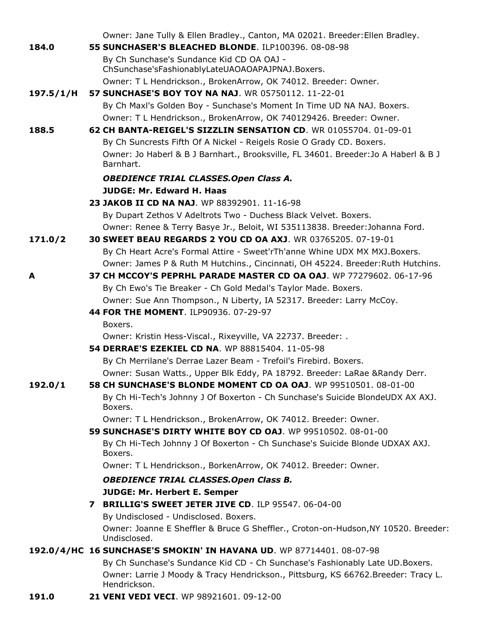|           | Owner: Jane Tully & Ellen Bradley., Canton, MA 02021. Breeder: Ellen Bradley.                      |
|-----------|----------------------------------------------------------------------------------------------------|
| 184.0     | 55 SUNCHASER'S BLEACHED BLONDE. ILP100396. 08-08-98                                                |
|           | By Ch Sunchase's Sundance Kid CD OA OAJ -<br>ChSunchase'sFashionablyLateUAOAOAPAJPNAJ.Boxers.      |
|           | Owner: T L Hendrickson., BrokenArrow, OK 74012. Breeder: Owner.                                    |
| 197.5/1/H | <b>57 SUNCHASE'S BOY TOY NA NAJ. WR 05750112, 11-22-01</b>                                         |
|           | By Ch Maxl's Golden Boy - Sunchase's Moment In Time UD NA NAJ. Boxers.                             |
|           | Owner: T L Hendrickson., BrokenArrow, OK 740129426. Breeder: Owner.                                |
| 188.5     | 62 CH BANTA-REIGEL'S SIZZLIN SENSATION CD. WR 01055704. 01-09-01                                   |
|           | By Ch Suncrests Fifth Of A Nickel - Reigels Rosie O Grady CD. Boxers.                              |
|           | Owner: Jo Haberl & B J Barnhart., Brooksville, FL 34601. Breeder: Jo A Haberl & B J<br>Barnhart.   |
|           | <b>OBEDIENCE TRIAL CLASSES.Open Class A.</b>                                                       |
|           | <b>JUDGE: Mr. Edward H. Haas</b>                                                                   |
|           | 23 JAKOB II CD NA NAJ. WP 88392901. 11-16-98                                                       |
|           | By Dupart Zethos V Adeltrots Two - Duchess Black Velvet. Boxers.                                   |
|           | Owner: Renee & Terry Basye Jr., Beloit, WI 535113838. Breeder: Johanna Ford.                       |
| 171.0/2   | 30 SWEET BEAU REGARDS 2 YOU CD OA AXJ. WR 03765205. 07-19-01                                       |
|           | By Ch Heart Acre's Formal Attire - Sweet'rTh'anne Whine UDX MX MXJ.Boxers.                         |
|           | Owner: James P & Ruth M Hutchins., Cincinnati, OH 45224. Breeder: Ruth Hutchins.                   |
| A         | 37 CH MCCOY'S PEPRHL PARADE MASTER CD OA OAJ. WP 77279602. 06-17-96                                |
|           | By Ch Ewo's Tie Breaker - Ch Gold Medal's Taylor Made. Boxers.                                     |
|           | Owner: Sue Ann Thompson., N Liberty, IA 52317. Breeder: Larry McCoy.                               |
|           | 44 FOR THE MOMENT. ILP90936. 07-29-97                                                              |
|           | Boxers.                                                                                            |
|           | Owner: Kristin Hess-Viscal., Rixeyville, VA 22737. Breeder: .                                      |
|           | 54 DERRAE'S EZEKIEL CD NA. WP 88815404. 11-05-98                                                   |
|           | By Ch Merrilane's Derrae Lazer Beam - Trefoil's Firebird. Boxers.                                  |
|           | Owner: Susan Watts., Upper Blk Eddy, PA 18792. Breeder: LaRae & Randy Derr.                        |
| 192.0/1   | 58 CH SUNCHASE'S BLONDE MOMENT CD OA OAJ. WP 99510501. 08-01-00                                    |
|           | By Ch Hi-Tech's Johnny J Of Boxerton - Ch Sunchase's Suicide BlondeUDX AX AXJ.<br>Boxers.          |
|           | Owner: T L Hendrickson., BrokenArrow, OK 74012. Breeder: Owner.                                    |
|           | 59 SUNCHASE'S DIRTY WHITE BOY CD OAJ. WP 99510502. 08-01-00                                        |
|           | By Ch Hi-Tech Johnny J Of Boxerton - Ch Sunchase's Suicide Blonde UDXAX AXJ.<br>Boxers.            |
|           | Owner: T L Hendrickson., BorkenArrow, OK 74012. Breeder: Owner.                                    |
|           | <b>OBEDIENCE TRIAL CLASSES.Open Class B.</b>                                                       |
|           | <b>JUDGE: Mr. Herbert E. Semper</b>                                                                |
|           | 7 BRILLIG'S SWEET JETER JIVE CD. ILP 95547. 06-04-00                                               |
|           | By Undisclosed - Undisclosed. Boxers.                                                              |
|           | Owner: Joanne E Sheffler & Bruce G Sheffler., Croton-on-Hudson, NY 10520. Breeder:<br>Undisclosed. |
|           | 192.0/4/HC 16 SUNCHASE'S SMOKIN' IN HAVANA UD. WP 87714401. 08-07-98                               |
|           | By Ch Sunchase's Sundance Kid CD - Ch Sunchase's Fashionably Late UD. Boxers.                      |
|           | Owner: Larrie J Moody & Tracy Hendrickson., Pittsburg, KS 66762.Breeder: Tracy L.<br>Hendrickson.  |
| 191.0     | 21 VENI VEDI VECI. WP 98921601. 09-12-00                                                           |
|           |                                                                                                    |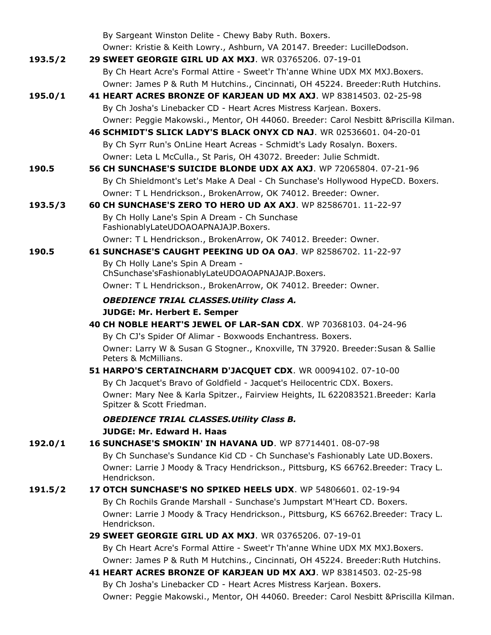|         | By Sargeant Winston Delite - Chewy Baby Ruth. Boxers.                                                               |
|---------|---------------------------------------------------------------------------------------------------------------------|
|         | Owner: Kristie & Keith Lowry., Ashburn, VA 20147. Breeder: LucilleDodson.                                           |
| 193.5/2 | 29 SWEET GEORGIE GIRL UD AX MXJ. WR 03765206. 07-19-01                                                              |
|         | By Ch Heart Acre's Formal Attire - Sweet'r Th'anne Whine UDX MX MXJ.Boxers.                                         |
|         | Owner: James P & Ruth M Hutchins., Cincinnati, OH 45224. Breeder: Ruth Hutchins.                                    |
| 195.0/1 | 41 HEART ACRES BRONZE OF KARJEAN UD MX AXJ. WP 83814503. 02-25-98                                                   |
|         | By Ch Josha's Linebacker CD - Heart Acres Mistress Karjean. Boxers.                                                 |
|         | Owner: Peggie Makowski., Mentor, OH 44060. Breeder: Carol Nesbitt & Priscilla Kilman.                               |
|         | 46 SCHMIDT'S SLICK LADY'S BLACK ONYX CD NAJ. WR 02536601. 04-20-01                                                  |
|         | By Ch Syrr Run's OnLine Heart Acreas - Schmidt's Lady Rosalyn. Boxers.                                              |
|         | Owner: Leta L McCulla., St Paris, OH 43072. Breeder: Julie Schmidt.                                                 |
| 190.5   | 56 CH SUNCHASE'S SUICIDE BLONDE UDX AX AXJ. WP 72065804, 07-21-96                                                   |
|         | By Ch Shieldmont's Let's Make A Deal - Ch Sunchase's Hollywood HypeCD. Boxers.                                      |
|         | Owner: T L Hendrickson., BrokenArrow, OK 74012. Breeder: Owner.                                                     |
| 193.5/3 | <b>60 CH SUNCHASE'S ZERO TO HERO UD AX AXJ.</b> WP 82586701, 11-22-97                                               |
|         | By Ch Holly Lane's Spin A Dream - Ch Sunchase                                                                       |
|         | FashionablyLateUDOAOAPNAJAJP.Boxers.                                                                                |
|         | Owner: T L Hendrickson., BrokenArrow, OK 74012. Breeder: Owner.                                                     |
| 190.5   | 61 SUNCHASE'S CAUGHT PEEKING UD OA OAJ. WP 82586702. 11-22-97                                                       |
|         | By Ch Holly Lane's Spin A Dream -                                                                                   |
|         | ChSunchase'sFashionablyLateUDOAOAPNAJAJP.Boxers.<br>Owner: T L Hendrickson., BrokenArrow, OK 74012. Breeder: Owner. |
|         |                                                                                                                     |
|         | <b>OBEDIENCE TRIAL CLASSES. Utility Class A.</b><br><b>JUDGE: Mr. Herbert E. Semper</b>                             |
|         | 40 CH NOBLE HEART'S JEWEL OF LAR-SAN CDX, WP 70368103, 04-24-96                                                     |
|         | By Ch CJ's Spider Of Alimar - Boxwoods Enchantress. Boxers.                                                         |
|         | Owner: Larry W & Susan G Stogner., Knoxville, TN 37920. Breeder: Susan & Sallie                                     |
|         | Peters & McMillians.                                                                                                |
|         | 51 HARPO'S CERTAINCHARM D'JACQUET CDX. WR 00094102. 07-10-00                                                        |
|         | By Ch Jacquet's Bravo of Goldfield - Jacquet's Heilocentric CDX. Boxers.                                            |
|         | Owner: Mary Nee & Karla Spitzer., Fairview Heights, IL 622083521.Breeder: Karla<br>Spitzer & Scott Friedman.        |
|         | <b>OBEDIENCE TRIAL CLASSES. Utility Class B.</b>                                                                    |
|         | <b>JUDGE: Mr. Edward H. Haas</b>                                                                                    |
| 192.0/1 | 16 SUNCHASE'S SMOKIN' IN HAVANA UD. WP 87714401. 08-07-98                                                           |
|         | By Ch Sunchase's Sundance Kid CD - Ch Sunchase's Fashionably Late UD. Boxers.                                       |
|         | Owner: Larrie J Moody & Tracy Hendrickson., Pittsburg, KS 66762.Breeder: Tracy L.<br>Hendrickson.                   |
| 191.5/2 | 17 OTCH SUNCHASE'S NO SPIKED HEELS UDX. WP 54806601. 02-19-94                                                       |
|         | By Ch Rochils Grande Marshall - Sunchase's Jumpstart M'Heart CD. Boxers.                                            |
|         | Owner: Larrie J Moody & Tracy Hendrickson., Pittsburg, KS 66762.Breeder: Tracy L.<br>Hendrickson.                   |
|         | 29 SWEET GEORGIE GIRL UD AX MXJ. WR 03765206. 07-19-01                                                              |
|         |                                                                                                                     |
|         | By Ch Heart Acre's Formal Attire - Sweet'r Th'anne Whine UDX MX MXJ.Boxers.                                         |
|         | Owner: James P & Ruth M Hutchins., Cincinnati, OH 45224. Breeder: Ruth Hutchins.                                    |
|         | 41 HEART ACRES BRONZE OF KARJEAN UD MX AXJ. WP 83814503. 02-25-98                                                   |
|         | By Ch Josha's Linebacker CD - Heart Acres Mistress Karjean. Boxers.                                                 |
|         | Owner: Peggie Makowski., Mentor, OH 44060. Breeder: Carol Nesbitt & Priscilla Kilman.                               |
|         |                                                                                                                     |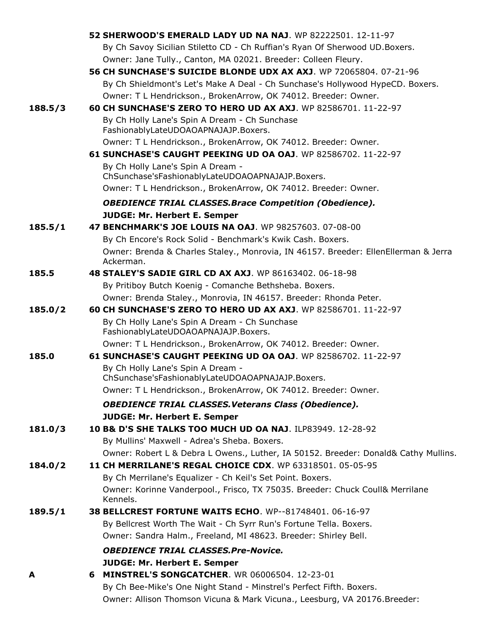|         | <b>52 SHERWOOD'S EMERALD LADY UD NA NAJ.</b> WP 82222501, 12-11-97                                                                         |
|---------|--------------------------------------------------------------------------------------------------------------------------------------------|
|         | By Ch Savoy Sicilian Stiletto CD - Ch Ruffian's Ryan Of Sherwood UD. Boxers.                                                               |
|         | Owner: Jane Tully., Canton, MA 02021. Breeder: Colleen Fleury.                                                                             |
|         | 56 CH SUNCHASE'S SUICIDE BLONDE UDX AX AXJ. WP 72065804, 07-21-96                                                                          |
|         | By Ch Shieldmont's Let's Make A Deal - Ch Sunchase's Hollywood HypeCD. Boxers.                                                             |
|         | Owner: T L Hendrickson., BrokenArrow, OK 74012. Breeder: Owner.                                                                            |
| 188.5/3 | 60 CH SUNCHASE'S ZERO TO HERO UD AX AXJ. WP 82586701. 11-22-97                                                                             |
|         | By Ch Holly Lane's Spin A Dream - Ch Sunchase                                                                                              |
|         | FashionablyLateUDOAOAPNAJAJP.Boxers.                                                                                                       |
|         | Owner: T L Hendrickson., BrokenArrow, OK 74012. Breeder: Owner.                                                                            |
|         | 61 SUNCHASE'S CAUGHT PEEKING UD OA OAJ. WP 82586702. 11-22-97                                                                              |
|         | By Ch Holly Lane's Spin A Dream -                                                                                                          |
|         | ChSunchase'sFashionablyLateUDOAOAPNAJAJP.Boxers.                                                                                           |
|         | Owner: T L Hendrickson., BrokenArrow, OK 74012. Breeder: Owner.                                                                            |
|         | <b>OBEDIENCE TRIAL CLASSES. Brace Competition (Obedience).</b>                                                                             |
|         | <b>JUDGE: Mr. Herbert E. Semper</b>                                                                                                        |
| 185.5/1 | 47 BENCHMARK'S JOE LOUIS NA OAJ. WP 98257603. 07-08-00                                                                                     |
|         | By Ch Encore's Rock Solid - Benchmark's Kwik Cash. Boxers.                                                                                 |
|         | Owner: Brenda & Charles Staley., Monrovia, IN 46157. Breeder: EllenEllerman & Jerra                                                        |
|         | Ackerman.                                                                                                                                  |
| 185.5   | <b>48 STALEY'S SADIE GIRL CD AX AXJ.</b> WP 86163402, 06-18-98                                                                             |
|         | By Pritiboy Butch Koenig - Comanche Bethsheba. Boxers.                                                                                     |
| 185.0/2 | Owner: Brenda Staley., Monrovia, IN 46157. Breeder: Rhonda Peter.<br><b>60 CH SUNCHASE'S ZERO TO HERO UD AX AXJ.</b> WP 82586701, 11-22-97 |
|         | By Ch Holly Lane's Spin A Dream - Ch Sunchase                                                                                              |
|         | FashionablyLateUDOAOAPNAJAJP.Boxers.                                                                                                       |
|         | Owner: T L Hendrickson., BrokenArrow, OK 74012. Breeder: Owner.                                                                            |
| 185.0   | 61 SUNCHASE'S CAUGHT PEEKING UD OA OAJ. WP 82586702. 11-22-97                                                                              |
|         | By Ch Holly Lane's Spin A Dream -                                                                                                          |
|         | ChSunchase'sFashionablyLateUDOAOAPNAJAJP.Boxers.                                                                                           |
|         | Owner: T L Hendrickson., BrokenArrow, OK 74012. Breeder: Owner.                                                                            |
|         | <b>OBEDIENCE TRIAL CLASSES. Veterans Class (Obedience).</b>                                                                                |
|         | <b>JUDGE: Mr. Herbert E. Semper</b>                                                                                                        |
| 181.0/3 | 10 B& D'S SHE TALKS TOO MUCH UD OA NAJ. ILP83949. 12-28-92                                                                                 |
|         | By Mullins' Maxwell - Adrea's Sheba. Boxers.                                                                                               |
|         | Owner: Robert L & Debra L Owens., Luther, IA 50152. Breeder: Donald& Cathy Mullins.                                                        |
| 184.0/2 | 11 CH MERRILANE'S REGAL CHOICE CDX. WP 63318501. 05-05-95                                                                                  |
|         | By Ch Merrilane's Equalizer - Ch Keil's Set Point. Boxers.                                                                                 |
|         | Owner: Korinne Vanderpool., Frisco, TX 75035. Breeder: Chuck Coull& Merrilane                                                              |
|         | Kennels.                                                                                                                                   |
| 189.5/1 | 38 BELLCREST FORTUNE WAITS ECHO. WP--81748401. 06-16-97                                                                                    |
|         | By Bellcrest Worth The Wait - Ch Syrr Run's Fortune Tella. Boxers.                                                                         |
|         | Owner: Sandra Halm., Freeland, MI 48623. Breeder: Shirley Bell.                                                                            |
|         | <b>OBEDIENCE TRIAL CLASSES.Pre-Novice.</b>                                                                                                 |
|         | <b>JUDGE: Mr. Herbert E. Semper</b>                                                                                                        |
| A       | 6 MINSTREL'S SONGCATCHER. WR 06006504. 12-23-01                                                                                            |
|         | By Ch Bee-Mike's One Night Stand - Minstrel's Perfect Fifth. Boxers.                                                                       |
|         | Owner: Allison Thomson Vicuna & Mark Vicuna., Leesburg, VA 20176. Breeder:                                                                 |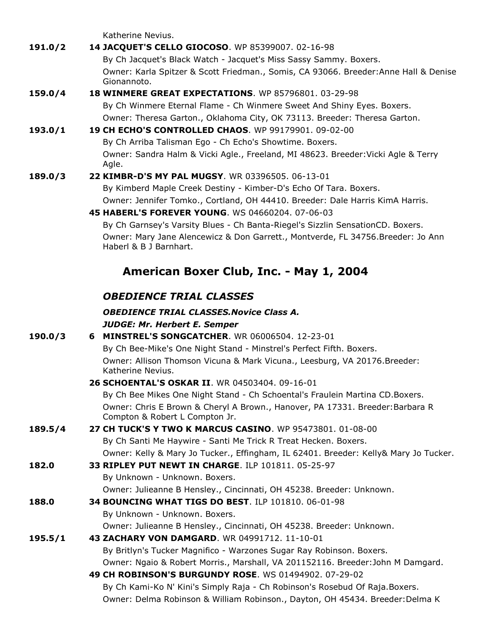Katherine Nevius.

**191.0/2 14 JACQUET'S CELLO GIOCOSO**. WP 85399007. 02-16-98 By Ch Jacquet's Black Watch - Jacquet's Miss Sassy Sammy. Boxers. Owner: Karla Spitzer & Scott Friedman., Somis, CA 93066. Breeder:Anne Hall & Denise Gionannoto. **159.0/4 18 WINMERE GREAT EXPECTATIONS**. WP 85796801. 03-29-98 By Ch Winmere Eternal Flame - Ch Winmere Sweet And Shiny Eyes. Boxers. Owner: Theresa Garton., Oklahoma City, OK 73113. Breeder: Theresa Garton.

#### **193.0/1 19 CH ECHO'S CONTROLLED CHAOS**. WP 99179901. 09-02-00 By Ch Arriba Talisman Ego - Ch Echo's Showtime. Boxers. Owner: Sandra Halm & Vicki Agle., Freeland, MI 48623. Breeder:Vicki Agle & Terry Agle.

#### **189.0/3 22 KIMBR-D'S MY PAL MUGSY**. WR 03396505. 06-13-01 By Kimberd Maple Creek Destiny - Kimber-D's Echo Of Tara. Boxers. Owner: Jennifer Tomko., Cortland, OH 44410. Breeder: Dale Harris KimA Harris.

**45 HABERL'S FOREVER YOUNG**. WS 04660204. 07-06-03

By Ch Garnsey's Varsity Blues - Ch Banta-Riegel's Sizzlin SensationCD. Boxers. Owner: Mary Jane Alencewicz & Don Garrett., Montverde, FL 34756.Breeder: Jo Ann Haberl & B J Barnhart.

### **American Boxer Club, Inc. - May 1, 2004**

### *OBEDIENCE TRIAL CLASSES*

#### *OBEDIENCE TRIAL CLASSES.Novice Class A. JUDGE: Mr. Herbert E. Semper*

| 190.0/3 | <b>6 MINSTREL'S SONGCATCHER.</b> WR 06006504, 12-23-01                                                          |
|---------|-----------------------------------------------------------------------------------------------------------------|
|         | By Ch Bee-Mike's One Night Stand - Minstrel's Perfect Fifth. Boxers.                                            |
|         | Owner: Allison Thomson Vicuna & Mark Vicuna., Leesburg, VA 20176. Breeder:<br>Katherine Nevius.                 |
|         | 26 SCHOENTAL'S OSKAR II. WR 04503404. 09-16-01                                                                  |
|         | By Ch Bee Mikes One Night Stand - Ch Schoental's Fraulein Martina CD. Boxers.                                   |
|         | Owner: Chris E Brown & Cheryl A Brown., Hanover, PA 17331. Breeder: Barbara R<br>Compton & Robert L Compton Jr. |
| 189.5/4 | 27 CH TUCK'S Y TWO K MARCUS CASINO. WP 95473801, 01-08-00                                                       |
|         | By Ch Santi Me Haywire - Santi Me Trick R Treat Hecken. Boxers.                                                 |
|         | Owner: Kelly & Mary Jo Tucker., Effingham, IL 62401. Breeder: Kelly& Mary Jo Tucker.                            |
| 182.0   | <b>33 RIPLEY PUT NEWT IN CHARGE. ILP 101811, 05-25-97</b>                                                       |
|         | By Unknown - Unknown. Boxers.                                                                                   |
|         | Owner: Julieanne B Hensley., Cincinnati, OH 45238. Breeder: Unknown.                                            |
| 188.0   | <b>34 BOUNCING WHAT TIGS DO BEST. ILP 101810, 06-01-98</b>                                                      |
|         | By Unknown - Unknown. Boxers.                                                                                   |
|         | Owner: Julieanne B Hensley., Cincinnati, OH 45238. Breeder: Unknown.                                            |
| 195.5/1 | 43 ZACHARY VON DAMGARD. WR 04991712. 11-10-01                                                                   |
|         | By Britlyn's Tucker Magnifico - Warzones Sugar Ray Robinson. Boxers.                                            |
|         | Owner: Ngaio & Robert Morris., Marshall, VA 201152116. Breeder: John M Damgard.                                 |
|         | 49 CH ROBINSON'S BURGUNDY ROSE. WS 01494902. 07-29-02                                                           |
|         | By Ch Kami-Ko N' Kini's Simply Raja - Ch Robinson's Rosebud Of Raja. Boxers.                                    |
|         | Owner: Delma Robinson & William Robinson., Dayton, OH 45434. Breeder: Delma K                                   |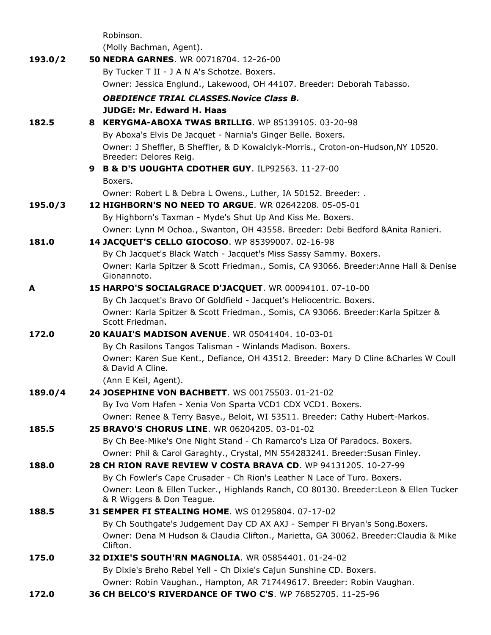|         | Robinson.                                                                                                                                  |
|---------|--------------------------------------------------------------------------------------------------------------------------------------------|
|         | (Molly Bachman, Agent).                                                                                                                    |
| 193.0/2 | <b>50 NEDRA GARNES. WR 00718704, 12-26-00</b>                                                                                              |
|         | By Tucker T II - J A N A's Schotze. Boxers.                                                                                                |
|         | Owner: Jessica Englund., Lakewood, OH 44107. Breeder: Deborah Tabasso.                                                                     |
|         | <b>OBEDIENCE TRIAL CLASSES. Novice Class B.</b>                                                                                            |
|         | <b>JUDGE: Mr. Edward H. Haas</b>                                                                                                           |
| 182.5   | 8 KERYGMA-ABOXA TWAS BRILLIG. WP 85139105. 03-20-98                                                                                        |
|         | By Aboxa's Elvis De Jacquet - Narnia's Ginger Belle. Boxers.                                                                               |
|         | Owner: J Sheffler, B Sheffler, & D Kowalclyk-Morris., Croton-on-Hudson, NY 10520.<br>Breeder: Delores Reig.                                |
|         | 9 B & D'S UOUGHTA CDOTHER GUY. ILP92563. 11-27-00                                                                                          |
|         | Boxers.                                                                                                                                    |
|         | Owner: Robert L & Debra L Owens., Luther, IA 50152. Breeder: .                                                                             |
| 195.0/3 | 12 HIGHBORN'S NO NEED TO ARGUE. WR 02642208, 05-05-01                                                                                      |
|         | By Highborn's Taxman - Myde's Shut Up And Kiss Me. Boxers.                                                                                 |
|         | Owner: Lynn M Ochoa., Swanton, OH 43558. Breeder: Debi Bedford & Anita Ranieri.                                                            |
| 181.0   | 14 JACQUET'S CELLO GIOCOSO. WP 85399007. 02-16-98                                                                                          |
|         | By Ch Jacquet's Black Watch - Jacquet's Miss Sassy Sammy. Boxers.                                                                          |
|         | Owner: Karla Spitzer & Scott Friedman., Somis, CA 93066. Breeder: Anne Hall & Denise<br>Gionannoto.                                        |
| A       | 15 HARPO'S SOCIALGRACE D'JACQUET. WR 00094101. 07-10-00                                                                                    |
|         | By Ch Jacquet's Bravo Of Goldfield - Jacquet's Heliocentric. Boxers.                                                                       |
|         | Owner: Karla Spitzer & Scott Friedman., Somis, CA 93066. Breeder: Karla Spitzer &<br>Scott Friedman.                                       |
| 172.0   | <b>20 KAUAI'S MADISON AVENUE.</b> WR 05041404, 10-03-01                                                                                    |
|         | By Ch Rasilons Tangos Talisman - Winlands Madison. Boxers.                                                                                 |
|         | Owner: Karen Sue Kent., Defiance, OH 43512. Breeder: Mary D Cline & Charles W Coull<br>& David A Cline.                                    |
|         | (Ann E Keil, Agent).                                                                                                                       |
| 189.0/4 | 24 JOSEPHINE VON BACHBETT. WS 00175503. 01-21-02                                                                                           |
|         | By Ivo Vom Hafen - Xenia Von Sparta VCD1 CDX VCD1. Boxers.                                                                                 |
|         | Owner: Renee & Terry Basye., Beloit, WI 53511. Breeder: Cathy Hubert-Markos.                                                               |
| 185.5   | 25 BRAVO'S CHORUS LINE. WR 06204205. 03-01-02                                                                                              |
|         | By Ch Bee-Mike's One Night Stand - Ch Ramarco's Liza Of Paradocs. Boxers.                                                                  |
|         | Owner: Phil & Carol Garaghty., Crystal, MN 554283241. Breeder: Susan Finley.                                                               |
| 188.0   | 28 CH RION RAVE REVIEW V COSTA BRAVA CD. WP 94131205. 10-27-99<br>By Ch Fowler's Cape Crusader - Ch Rion's Leather N Lace of Turo. Boxers. |
|         | Owner: Leon & Ellen Tucker., Highlands Ranch, CO 80130. Breeder: Leon & Ellen Tucker                                                       |
|         | & R Wiggers & Don Teague.                                                                                                                  |
| 188.5   | 31 SEMPER FI STEALING HOME. WS 01295804. 07-17-02                                                                                          |
|         | By Ch Southgate's Judgement Day CD AX AXJ - Semper Fi Bryan's Song. Boxers.                                                                |
|         | Owner: Dena M Hudson & Claudia Clifton., Marietta, GA 30062. Breeder: Claudia & Mike<br>Clifton.                                           |
| 175.0   | 32 DIXIE'S SOUTH'RN MAGNOLIA. WR 05854401. 01-24-02                                                                                        |
|         | By Dixie's Breho Rebel Yell - Ch Dixie's Cajun Sunshine CD. Boxers.                                                                        |
|         | Owner: Robin Vaughan., Hampton, AR 717449617. Breeder: Robin Vaughan.                                                                      |
| 172.0   | 36 CH BELCO'S RIVERDANCE OF TWO C'S. WP 76852705. 11-25-96                                                                                 |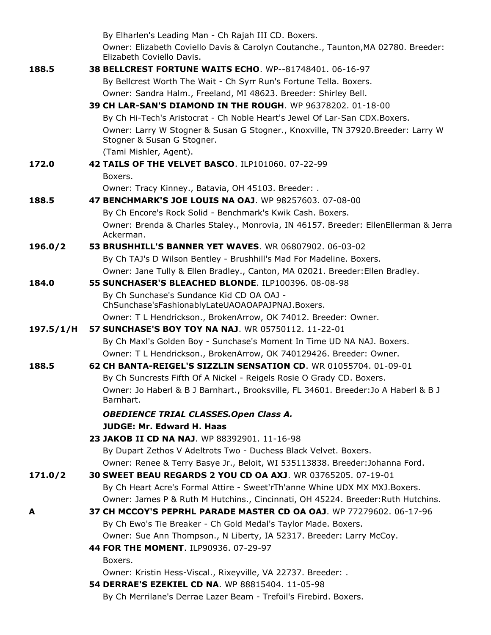|           | By Elharlen's Leading Man - Ch Rajah III CD. Boxers.                                                           |
|-----------|----------------------------------------------------------------------------------------------------------------|
|           | Owner: Elizabeth Coviello Davis & Carolyn Coutanche., Taunton, MA 02780. Breeder:<br>Elizabeth Coviello Davis. |
| 188.5     | 38 BELLCREST FORTUNE WAITS ECHO. WP--81748401. 06-16-97                                                        |
|           | By Bellcrest Worth The Wait - Ch Syrr Run's Fortune Tella. Boxers.                                             |
|           | Owner: Sandra Halm., Freeland, MI 48623. Breeder: Shirley Bell.                                                |
|           | 39 CH LAR-SAN'S DIAMOND IN THE ROUGH. WP 96378202. 01-18-00                                                    |
|           | By Ch Hi-Tech's Aristocrat - Ch Noble Heart's Jewel Of Lar-San CDX.Boxers.                                     |
|           | Owner: Larry W Stogner & Susan G Stogner., Knoxville, TN 37920.Breeder: Larry W<br>Stogner & Susan G Stogner.  |
|           | (Tami Mishler, Agent).                                                                                         |
| 172.0     | 42 TAILS OF THE VELVET BASCO. ILP101060. 07-22-99                                                              |
|           | Boxers.                                                                                                        |
|           | Owner: Tracy Kinney., Batavia, OH 45103. Breeder: .                                                            |
| 188.5     | 47 BENCHMARK'S JOE LOUIS NA OAJ. WP 98257603. 07-08-00                                                         |
|           | By Ch Encore's Rock Solid - Benchmark's Kwik Cash. Boxers.                                                     |
|           | Owner: Brenda & Charles Staley., Monrovia, IN 46157. Breeder: EllenEllerman & Jerra<br>Ackerman.               |
| 196.0/2   | <b>53 BRUSHHILL'S BANNER YET WAVES.</b> WR 06807902, 06-03-02                                                  |
|           | By Ch TAJ's D Wilson Bentley - Brushhill's Mad For Madeline. Boxers.                                           |
|           | Owner: Jane Tully & Ellen Bradley., Canton, MA 02021. Breeder: Ellen Bradley.                                  |
| 184.0     | 55 SUNCHASER'S BLEACHED BLONDE. ILP100396. 08-08-98                                                            |
|           | By Ch Sunchase's Sundance Kid CD OA OAJ -<br>ChSunchase'sFashionablyLateUAOAOAPAJPNAJ.Boxers.                  |
|           | Owner: T L Hendrickson., BrokenArrow, OK 74012. Breeder: Owner.                                                |
| 197.5/1/H | 57 SUNCHASE'S BOY TOY NA NAJ. WR 05750112, 11-22-01                                                            |
|           | By Ch Maxl's Golden Boy - Sunchase's Moment In Time UD NA NAJ. Boxers.                                         |
|           | Owner: T L Hendrickson., BrokenArrow, OK 740129426. Breeder: Owner.                                            |
| 188.5     | 62 CH BANTA-REIGEL'S SIZZLIN SENSATION CD. WR 01055704. 01-09-01                                               |
|           | By Ch Suncrests Fifth Of A Nickel - Reigels Rosie O Grady CD. Boxers.                                          |
|           | Owner: Jo Haberl & B J Barnhart., Brooksville, FL 34601. Breeder: Jo A Haberl & B J<br>Barnhart.               |
|           | <b>OBEDIENCE TRIAL CLASSES.Open Class A.</b>                                                                   |
|           | <b>JUDGE: Mr. Edward H. Haas</b>                                                                               |
|           | 23 JAKOB II CD NA NAJ. WP 88392901. 11-16-98                                                                   |
|           | By Dupart Zethos V Adeltrots Two - Duchess Black Velvet. Boxers.                                               |
|           | Owner: Renee & Terry Basye Jr., Beloit, WI 535113838. Breeder: Johanna Ford.                                   |
| 171.0/2   | 30 SWEET BEAU REGARDS 2 YOU CD OA AXJ. WR 03765205. 07-19-01                                                   |
|           | By Ch Heart Acre's Formal Attire - Sweet'rTh'anne Whine UDX MX MXJ.Boxers.                                     |
|           | Owner: James P & Ruth M Hutchins., Cincinnati, OH 45224. Breeder: Ruth Hutchins.                               |
| А         | 37 CH MCCOY'S PEPRHL PARADE MASTER CD OA OAJ. WP 77279602. 06-17-96                                            |
|           | By Ch Ewo's Tie Breaker - Ch Gold Medal's Taylor Made. Boxers.                                                 |
|           | Owner: Sue Ann Thompson., N Liberty, IA 52317. Breeder: Larry McCoy.                                           |
|           | 44 FOR THE MOMENT. ILP90936. 07-29-97                                                                          |
|           | Boxers.                                                                                                        |
|           | Owner: Kristin Hess-Viscal., Rixeyville, VA 22737. Breeder: .                                                  |
|           | 54 DERRAE'S EZEKIEL CD NA. WP 88815404. 11-05-98                                                               |
|           | By Ch Merrilane's Derrae Lazer Beam - Trefoil's Firebird. Boxers.                                              |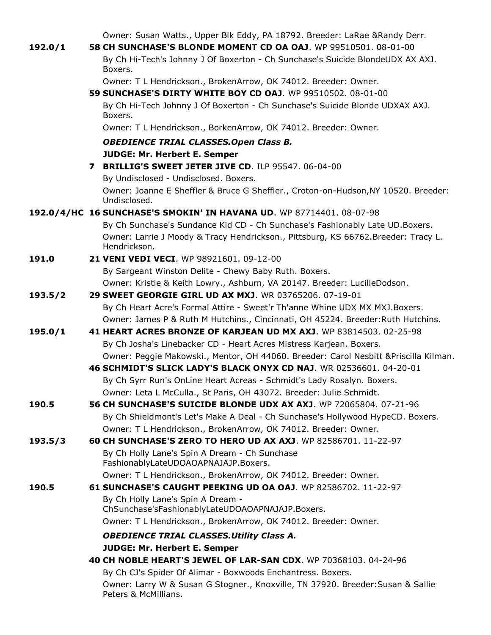Owner: Susan Watts., Upper Blk Eddy, PA 18792. Breeder: LaRae &Randy Derr.

| 192.0/1 | 58 CH SUNCHASE'S BLONDE MOMENT CD OA OAJ. WP 99510501. 08-01-00                                                                                             |
|---------|-------------------------------------------------------------------------------------------------------------------------------------------------------------|
|         | By Ch Hi-Tech's Johnny J Of Boxerton - Ch Sunchase's Suicide BlondeUDX AX AXJ.<br>Boxers.                                                                   |
|         | Owner: T L Hendrickson., BrokenArrow, OK 74012. Breeder: Owner.                                                                                             |
|         | 59 SUNCHASE'S DIRTY WHITE BOY CD OAJ. WP 99510502, 08-01-00                                                                                                 |
|         | By Ch Hi-Tech Johnny J Of Boxerton - Ch Sunchase's Suicide Blonde UDXAX AXJ.<br>Boxers.                                                                     |
|         | Owner: T L Hendrickson., BorkenArrow, OK 74012. Breeder: Owner.                                                                                             |
|         | <b>OBEDIENCE TRIAL CLASSES.Open Class B.</b>                                                                                                                |
|         | <b>JUDGE: Mr. Herbert E. Semper</b>                                                                                                                         |
|         | 7 BRILLIG'S SWEET JETER JIVE CD. ILP 95547. 06-04-00                                                                                                        |
|         | By Undisclosed - Undisclosed. Boxers.                                                                                                                       |
|         | Owner: Joanne E Sheffler & Bruce G Sheffler., Croton-on-Hudson, NY 10520. Breeder:<br>Undisclosed.                                                          |
|         | 192.0/4/HC 16 SUNCHASE'S SMOKIN' IN HAVANA UD. WP 87714401. 08-07-98                                                                                        |
|         | By Ch Sunchase's Sundance Kid CD - Ch Sunchase's Fashionably Late UD. Boxers.                                                                               |
|         | Owner: Larrie J Moody & Tracy Hendrickson., Pittsburg, KS 66762.Breeder: Tracy L.<br>Hendrickson.                                                           |
| 191.0   | <b>21 VENI VEDI VECI.</b> WP 98921601, 09-12-00                                                                                                             |
|         | By Sargeant Winston Delite - Chewy Baby Ruth. Boxers.                                                                                                       |
|         | Owner: Kristie & Keith Lowry., Ashburn, VA 20147. Breeder: LucilleDodson.                                                                                   |
| 193.5/2 | 29 SWEET GEORGIE GIRL UD AX MXJ. WR 03765206. 07-19-01                                                                                                      |
|         | By Ch Heart Acre's Formal Attire - Sweet'r Th'anne Whine UDX MX MXJ.Boxers.                                                                                 |
|         | Owner: James P & Ruth M Hutchins., Cincinnati, OH 45224. Breeder: Ruth Hutchins.                                                                            |
| 195.0/1 | 41 HEART ACRES BRONZE OF KARJEAN UD MX AXJ. WP 83814503. 02-25-98                                                                                           |
|         | By Ch Josha's Linebacker CD - Heart Acres Mistress Karjean. Boxers.                                                                                         |
|         | Owner: Peggie Makowski., Mentor, OH 44060. Breeder: Carol Nesbitt & Priscilla Kilman.<br>46 SCHMIDT'S SLICK LADY'S BLACK ONYX CD NAJ. WR 02536601. 04-20-01 |
|         | By Ch Syrr Run's OnLine Heart Acreas - Schmidt's Lady Rosalyn. Boxers.                                                                                      |
|         | Owner: Leta L McCulla., St Paris, OH 43072. Breeder: Julie Schmidt.                                                                                         |
| 190.5   | 56 CH SUNCHASE'S SUICIDE BLONDE UDX AX AXJ. WP 72065804, 07-21-96                                                                                           |
|         | By Ch Shieldmont's Let's Make A Deal - Ch Sunchase's Hollywood HypeCD. Boxers.                                                                              |
|         | Owner: T L Hendrickson., BrokenArrow, OK 74012. Breeder: Owner.                                                                                             |
| 193.5/3 | <b>60 CH SUNCHASE'S ZERO TO HERO UD AX AXJ.</b> WP 82586701. 11-22-97                                                                                       |
|         | By Ch Holly Lane's Spin A Dream - Ch Sunchase<br>FashionablyLateUDOAOAPNAJAJP.Boxers.                                                                       |
|         | Owner: T L Hendrickson., BrokenArrow, OK 74012. Breeder: Owner.                                                                                             |
| 190.5   | 61 SUNCHASE'S CAUGHT PEEKING UD OA OAJ. WP 82586702. 11-22-97                                                                                               |
|         | By Ch Holly Lane's Spin A Dream -<br>ChSunchase'sFashionablyLateUDOAOAPNAJAJP.Boxers.                                                                       |
|         | Owner: T L Hendrickson., BrokenArrow, OK 74012. Breeder: Owner.                                                                                             |
|         | <b>OBEDIENCE TRIAL CLASSES. Utility Class A.</b>                                                                                                            |
|         | <b>JUDGE: Mr. Herbert E. Semper</b>                                                                                                                         |
|         | 40 CH NOBLE HEART'S JEWEL OF LAR-SAN CDX. WP 70368103. 04-24-96                                                                                             |
|         | By Ch CJ's Spider Of Alimar - Boxwoods Enchantress. Boxers.                                                                                                 |
|         | Owner: Larry W & Susan G Stogner., Knoxville, TN 37920. Breeder: Susan & Sallie<br>Peters & McMillians.                                                     |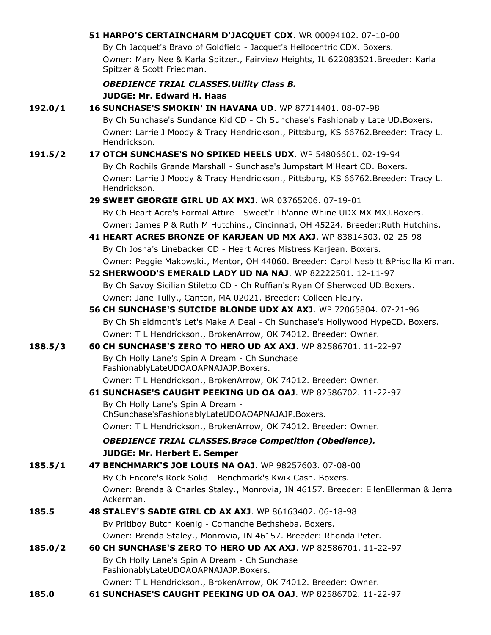| 51 HARPO'S CERTAINCHARM D'JACQUET CDX. WR 00094102. 07-10-00 |
|--------------------------------------------------------------|
|                                                              |

By Ch Jacquet's Bravo of Goldfield - Jacquet's Heilocentric CDX. Boxers. Owner: Mary Nee & Karla Spitzer., Fairview Heights, IL 622083521.Breeder: Karla Spitzer & Scott Friedman.

## *OBEDIENCE TRIAL CLASSES.Utility Class B.*

|         | UBEDIENCE TRIAL CLASSES.OUTILY CIASS B.                                                           |
|---------|---------------------------------------------------------------------------------------------------|
|         | <b>JUDGE: Mr. Edward H. Haas</b>                                                                  |
| 192.0/1 | 16 SUNCHASE'S SMOKIN' IN HAVANA UD. WP 87714401. 08-07-98                                         |
|         | By Ch Sunchase's Sundance Kid CD - Ch Sunchase's Fashionably Late UD. Boxers.                     |
|         | Owner: Larrie J Moody & Tracy Hendrickson., Pittsburg, KS 66762.Breeder: Tracy L.<br>Hendrickson. |
| 191.5/2 | 17 OTCH SUNCHASE'S NO SPIKED HEELS UDX. WP 54806601, 02-19-94                                     |
|         | By Ch Rochils Grande Marshall - Sunchase's Jumpstart M'Heart CD. Boxers.                          |
|         | Owner: Larrie J Moody & Tracy Hendrickson., Pittsburg, KS 66762.Breeder: Tracy L.<br>Hendrickson. |
|         | <b>29 SWEET GEORGIE GIRL UD AX MXJ.</b> WR 03765206, 07-19-01                                     |
|         | By Ch Heart Acre's Formal Attire - Sweet'r Th'anne Whine UDX MX MXJ.Boxers.                       |
|         | Owner: James P & Ruth M Hutchins., Cincinnati, OH 45224. Breeder: Ruth Hutchins.                  |
|         | 41 HEART ACRES BRONZE OF KARJEAN UD MX AXJ. WP 83814503. 02-25-98                                 |
|         | By Ch Josha's Linebacker CD - Heart Acres Mistress Karjean. Boxers.                               |
|         | Owner: Peggie Makowski., Mentor, OH 44060. Breeder: Carol Nesbitt & Priscilla Kilman.             |
|         | 52 SHERWOOD'S EMERALD LADY UD NA NAJ. WP 82222501. 12-11-97                                       |
|         | By Ch Savoy Sicilian Stiletto CD - Ch Ruffian's Ryan Of Sherwood UD.Boxers.                       |
|         | Owner: Jane Tully., Canton, MA 02021. Breeder: Colleen Fleury.                                    |
|         | 56 CH SUNCHASE'S SUICIDE BLONDE UDX AX AXJ. WP 72065804. 07-21-96                                 |
|         | By Ch Shieldmont's Let's Make A Deal - Ch Sunchase's Hollywood HypeCD. Boxers.                    |
|         | Owner: T L Hendrickson., BrokenArrow, OK 74012. Breeder: Owner.                                   |
| 188.5/3 | <b>60 CH SUNCHASE'S ZERO TO HERO UD AX AXJ.</b> WP 82586701, 11-22-97                             |
|         | By Ch Holly Lane's Spin A Dream - Ch Sunchase<br>FashionablyLateUDOAOAPNAJAJP.Boxers.             |
|         | Owner: T L Hendrickson., BrokenArrow, OK 74012. Breeder: Owner.                                   |
|         | 61 SUNCHASE'S CAUGHT PEEKING UD OA OAJ. WP 82586702. 11-22-97                                     |
|         | By Ch Holly Lane's Spin A Dream -<br>ChSunchase'sFashionablyLateUDOAOAPNAJAJP.Boxers.             |
|         | Owner: T L Hendrickson., BrokenArrow, OK 74012. Breeder: Owner.                                   |
|         | <b>OBEDIENCE TRIAL CLASSES. Brace Competition (Obedience).</b>                                    |
|         | <b>JUDGE: Mr. Herbert E. Semper</b>                                                               |
| 185.5/1 | 47 BENCHMARK'S JOE LOUIS NA OAJ. WP 98257603. 07-08-00                                            |
|         | By Ch Encore's Rock Solid - Benchmark's Kwik Cash. Boxers.                                        |
|         | Owner: Brenda & Charles Staley., Monrovia, IN 46157. Breeder: EllenEllerman & Jerra               |
|         | Ackerman.                                                                                         |
| 185.5   | 48 STALEY'S SADIE GIRL CD AX AXJ. WP 86163402. 06-18-98                                           |
|         | By Pritiboy Butch Koenig - Comanche Bethsheba. Boxers.                                            |
|         | Owner: Brenda Staley., Monrovia, IN 46157. Breeder: Rhonda Peter.                                 |
| 185.0/2 | 60 CH SUNCHASE'S ZERO TO HERO UD AX AXJ. WP 82586701. 11-22-97                                    |
|         | By Ch Holly Lane's Spin A Dream - Ch Sunchase<br>FashionablyLateUDOAOAPNAJAJP.Boxers.             |
|         | Owner: T L Hendrickson., BrokenArrow, OK 74012. Breeder: Owner.                                   |

**185.0 61 SUNCHASE'S CAUGHT PEEKING UD OA OAJ**. WP 82586702. 11-22-97